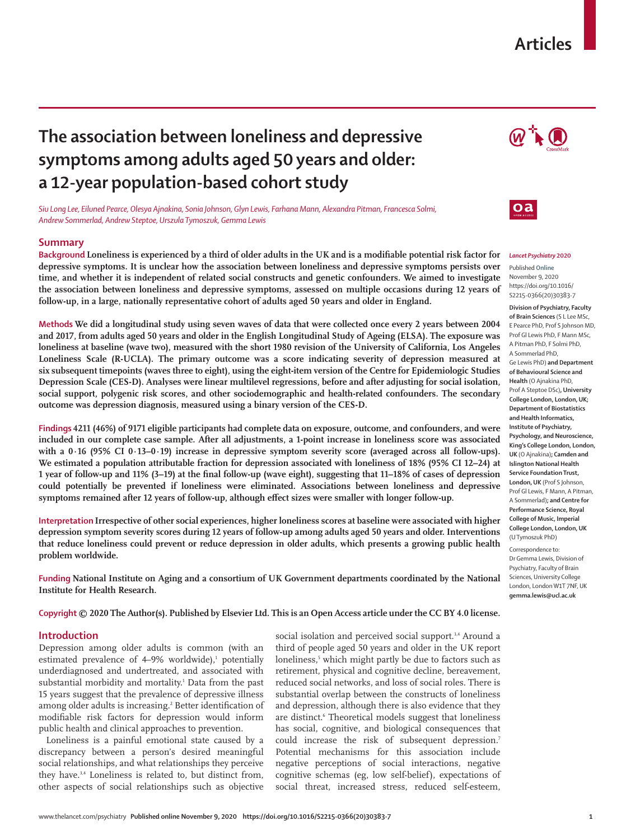## **Articles**

# **The association between loneliness and depressive symptoms among adults aged 50 years and older: a 12-year population-based cohort study**

*Siu Long Lee, Eiluned Pearce, Olesya Ajnakina, Sonia Johnson, Glyn Lewis, Farhana Mann, Alexandra Pitman, Francesca Solmi, Andrew Sommerlad, Andrew Steptoe, Urszula Tymoszuk, Gemma Lewis*

## **Summary**

**Background Loneliness is experienced by a third of older adults in the UK and is a modifiable potential risk factor for depressive symptoms. It is unclear how the association between loneliness and depressive symptoms persists over time, and whether it is independent of related social constructs and genetic confounders. We aimed to investigate the association between loneliness and depressive symptoms, assessed on multiple occasions during 12 years of follow-up, in a large, nationally representative cohort of adults aged 50 years and older in England.**

**Methods We did a longitudinal study using seven waves of data that were collected once every 2 years between 2004 and 2017, from adults aged 50 years and older in the English Longitudinal Study of Ageing (ELSA). The exposure was loneliness at baseline (wave two), measured with the short 1980 revision of the University of California, Los Angeles Loneliness Scale (R-UCLA). The primary outcome was a score indicating severity of depression measured at six subsequent timepoints (waves three to eight), using the eight-item version of the Centre for Epidemiologic Studies Depression Scale (CES-D). Analyses were linear multilevel regressions, before and after adjusting for social isolation, social support, polygenic risk scores, and other sociodemographic and health-related confounders. The secondary outcome was depression diagnosis, measured using a binary version of the CES-D.**

**Findings 4211 (46%) of 9171 eligible participants had complete data on exposure, outcome, and confounders, and were included in our complete case sample. After all adjustments, a 1-point increase in loneliness score was associated with a 0·16 (95% CI 0·13–0·19) increase in depressive symptom severity score (averaged across all follow-ups). We estimated a population attributable fraction for depression associated with loneliness of 18% (95% CI 12–24) at 1 year of follow-up and 11% (3–19) at the final follow-up (wave eight), suggesting that 11–18% of cases of depression could potentially be prevented if loneliness were eliminated. Associations between loneliness and depressive symptoms remained after 12 years of follow-up, although effect sizes were smaller with longer follow-up.**

**Interpretation Irrespective of other social experiences, higher loneliness scores at baseline were associated with higher depression symptom severity scores during 12 years of follow-up among adults aged 50 years and older. Interventions that reduce loneliness could prevent or reduce depression in older adults, which presents a growing public health problem worldwide.**

**Funding National Institute on Aging and a consortium of UK Government departments coordinated by the National Institute for Health Research.**

**Copyright © 2020 The Author(s). Published by Elsevier Ltd. This is an Open Access article under the CC BY 4.0 license.**

## **Introduction**

Depression among older adults is common (with an estimated prevalence of 4–9% worldwide),<sup>1</sup> potentially underdiagnosed and undertreated, and associated with substantial morbidity and mortality.<sup>1</sup> Data from the past 15 years suggest that the prevalence of depressive illness among older adults is increasing.<sup>2</sup> Better identification of modifiable risk factors for depression would inform public health and clinical approaches to prevention.

Loneliness is a painful emotional state caused by a discrepancy between a person's desired meaningful social relationships, and what relationships they perceive they have.3,4 Loneliness is related to, but distinct from, other aspects of social relationships such as objective social isolation and perceived social support.<sup>3,4</sup> Around a third of people aged 50 years and older in the UK report loneliness,<sup>5</sup> which might partly be due to factors such as retirement, physical and cognitive decline, bereavement, reduced social networks, and loss of social roles. There is substantial overlap between the constructs of loneliness and depression, although there is also evidence that they are distinct.<sup>6</sup> Theoretical models suggest that loneliness has social, cognitive, and biological consequences that could increase the risk of subsequent depression.7 Potential mechanisms for this association include negative perceptions of social interactions, negative cognitive schemas (eg, low self-belief), expectations of social threat, increased stress, reduced self-esteem,





#### *Lancet Psychiatry* **2020**

Published **Online** November 9, 2020 https://doi.org/10.1016/ S2215-0366(20)30383-7

**Division of Psychiatry, Faculty of Brain Sciences** (S L Lee MSc, E Pearce PhD, Prof S Johnson MD, Prof Gl Lewis PhD, F Mann MSc, A Pitman PhD, F Solmi PhD, A Sommerlad PhD, Ge Lewis PhD) **and Department of Behavioural Science and Health** (O Ajnakina PhD, Prof A Steptoe DSc)**, University College London, London, UK; Department of Biostatistics and Health Informatics, Institute of Psychiatry, Psychology, and Neuroscience, King's College London, London, UK** (O Ajnakina)**; Camden and Islington National Health Service Foundation Trust, London, UK** (Prof S Johnson, Prof Gl Lewis, F Mann, A Pitman, A Sommerlad)**; and Centre for Performance Science, Royal College of Music, Imperial College London, London, UK**  (U Tymoszuk PhD)

Correspondence to:

Dr Gemma Lewis, Division of Psychiatry, Faculty of Brain Sciences, University College London, London W1T 7NF, UK **gemma.lewis@ucl.ac.uk**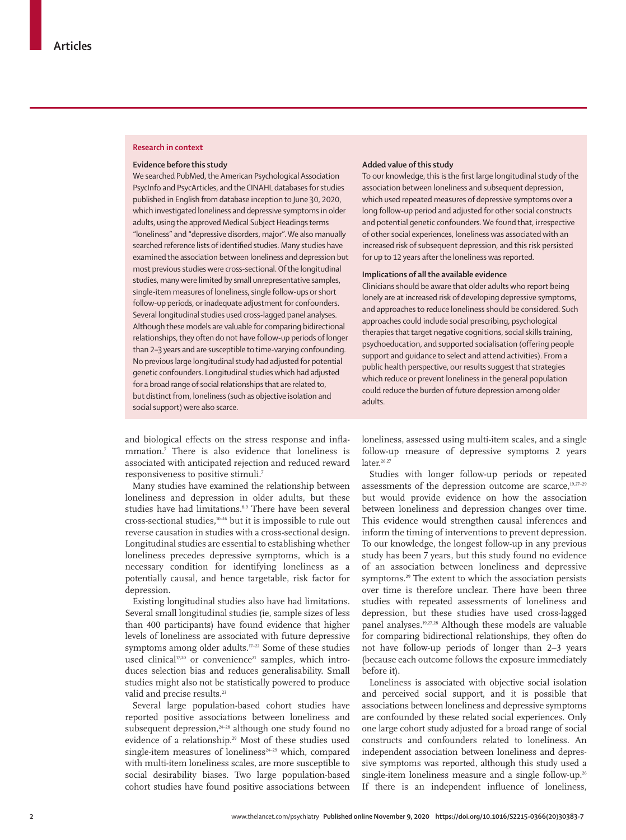## **Research in context**

### **Evidence before this study**

We searched PubMed, the American Psychological Association PsycInfo and PsycArticles, and the CINAHL databases for studies published in English from database inception to June 30, 2020, which investigated loneliness and depressive symptoms in older adults, using the approved Medical Subject Headings terms "loneliness" and "depressive disorders, major". We also manually searched reference lists of identified studies. Many studies have examined the association between loneliness and depression but most previous studies were cross-sectional. Of the longitudinal studies, many were limited by small unrepresentative samples, single-item measures of loneliness, single follow-ups or short follow-up periods, or inadequate adjustment for confounders. Several longitudinal studies used cross-lagged panel analyses. Although these models are valuable for comparing bidirectional relationships, they often do not have follow-up periods of longer than 2–3 years and are susceptible to time-varying confounding. No previous large longitudinal study had adjusted for potential genetic confounders. Longitudinal studies which had adjusted for a broad range of social relationships that are related to, but distinct from, loneliness (such as objective isolation and social support) were also scarce.

#### **Added value of this study**

To our knowledge, this is the first large longitudinal study of the association between loneliness and subsequent depression, which used repeated measures of depressive symptoms over a long follow-up period and adjusted for other social constructs and potential genetic confounders. We found that, irrespective of other social experiences, loneliness was associated with an increased risk of subsequent depression, and this risk persisted for up to 12 years after the loneliness was reported.

## **Implications of all the available evidence**

Clinicians should be aware that older adults who report being lonely are at increased risk of developing depressive symptoms, and approaches to reduce loneliness should be considered. Such approaches could include social prescribing, psychological therapies that target negative cognitions, social skills training, psychoeducation, and supported socialisation (offering people support and guidance to select and attend activities). From a public health perspective, our results suggest that strategies which reduce or prevent loneliness in the general population could reduce the burden of future depression among older adults.

and biological effects on the stress response and inflammation.7 There is also evidence that loneliness is associated with anticipated rejection and reduced reward responsiveness to positive stimuli.7

Many studies have examined the relationship between loneliness and depression in older adults, but these studies have had limitations.<sup>8,9</sup> There have been several cross-sectional studies,10–16 but it is impossible to rule out reverse causation in studies with a cross-sectional design. Longitudinal studies are essential to establishing whether loneliness precedes depressive symptoms, which is a necessary condition for identifying loneliness as a potentially causal, and hence targetable, risk factor for depression.

Existing longitudinal studies also have had limitations. Several small longitudinal studies (ie, sample sizes of less than 400 participants) have found evidence that higher levels of loneliness are associated with future depressive symptoms among older adults.<sup>17-22</sup> Some of these studies used clinical<sup>17,20</sup> or convenience<sup>21</sup> samples, which introduces selection bias and reduces generalisability. Small studies might also not be statistically powered to produce valid and precise results.<sup>23</sup>

Several large population-based cohort studies have reported positive associations between loneliness and subsequent depression, $24-28$  although one study found no evidence of a relationship.29 Most of these studies used single-item measures of loneliness $24-29$  which, compared with multi-item loneliness scales, are more susceptible to social desirability biases. Two large population-based cohort studies have found positive associations between loneliness, assessed using multi-item scales, and a single follow-up measure of depressive symptoms 2 years later.<sup>26,27</sup>

Studies with longer follow-up periods or repeated assessments of the depression outcome are scarce, $19,27-29$ but would provide evidence on how the association between loneliness and depression changes over time. This evidence would strengthen causal inferences and inform the timing of interventions to prevent depression. To our knowledge, the longest follow-up in any previous study has been 7 years, but this study found no evidence of an association between loneliness and depressive symptoms.<sup>29</sup> The extent to which the association persists over time is therefore unclear. There have been three studies with repeated assessments of loneliness and depression, but these studies have used cross-lagged panel analyses.19,27,28 Although these models are valuable for comparing bidirectional relationships, they often do not have follow-up periods of longer than 2–3 years (because each outcome follows the exposure immediately before it).

Loneliness is associated with objective social isolation and perceived social support, and it is possible that associations between loneliness and depressive symptoms are confounded by these related social experiences. Only one large cohort study adjusted for a broad range of social constructs and confounders related to loneliness. An independent association between loneliness and depressive symptoms was reported, although this study used a single-item loneliness measure and a single follow-up.<sup>26</sup> If there is an independent influence of loneliness,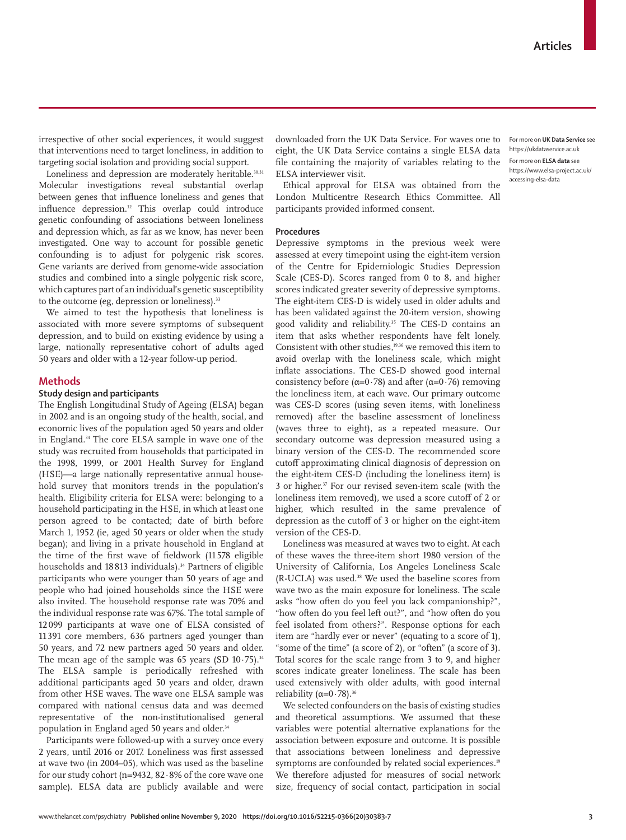irrespective of other social experiences, it would suggest that interventions need to target loneliness, in addition to targeting social isolation and providing social support.

Loneliness and depression are moderately heritable.<sup>30,31</sup> Molecular investigations reveal substantial overlap between genes that influence loneliness and genes that influence depression.<sup>32</sup> This overlap could introduce genetic confounding of associations between loneliness and depression which, as far as we know, has never been investigated. One way to account for possible genetic confounding is to adjust for polygenic risk scores. Gene variants are derived from genome-wide association studies and combined into a single polygenic risk score, which captures part of an individual's genetic susceptibility to the outcome (eg, depression or loneliness).<sup>33</sup>

We aimed to test the hypothesis that loneliness is associated with more severe symptoms of subsequent depression, and to build on existing evidence by using a large, nationally representative cohort of adults aged 50 years and older with a 12-year follow-up period.

## **Methods**

## **Study design and participants**

The English Longitudinal Study of Ageing (ELSA) began in 2002 and is an ongoing study of the health, social, and economic lives of the population aged 50 years and older in England.<sup>34</sup> The core ELSA sample in wave one of the study was recruited from households that participated in the 1998, 1999, or 2001 Health Survey for England (HSE)—a large nationally representative annual household survey that monitors trends in the population's health. Eligibility criteria for ELSA were: belonging to a household participating in the HSE, in which at least one person agreed to be contacted; date of birth before March 1, 1952 (ie, aged 50 years or older when the study began); and living in a private household in England at the time of the first wave of fieldwork (11 578 eligible households and 18813 individuals).<sup>34</sup> Partners of eligible participants who were younger than 50 years of age and people who had joined households since the HSE were also invited. The household response rate was 70% and the individual response rate was 67%. The total sample of 12 099 participants at wave one of ELSA consisted of 11 391 core members, 636 partners aged younger than 50 years, and 72 new partners aged 50 years and older. The mean age of the sample was 65 years (SD  $10\cdot 75$ ).<sup>34</sup> The ELSA sample is periodically refreshed with additional participants aged 50 years and older, drawn from other HSE waves. The wave one ELSA sample was compared with national census data and was deemed representative of the non-institutionalised general population in England aged 50 years and older.<sup>34</sup>

Participants were followed-up with a survey once every 2 years, until 2016 or 2017. Loneliness was first assessed at wave two (in 2004–05), which was used as the baseline for our study cohort (n=9432, 82·8% of the core wave one sample). ELSA data are publicly available and were downloaded from the [UK Data Service](https://ukdataservice.ac.uk). For waves one to eight, the UK Data Service contains a single [ELSA data](https://www.elsa-project.ac.uk/accessing-elsa-data) file containing the majority of variables relating to the ELSA interviewer visit.

Ethical approval for ELSA was obtained from the London Multicentre Research Ethics Committee. All participants provided informed consent.

#### **Procedures**

Depressive symptoms in the previous week were assessed at every timepoint using the eight-item version of the Centre for Epidemiologic Studies Depression Scale (CES-D). Scores ranged from 0 to 8, and higher scores indicated greater severity of depressive symptoms. The eight-item CES-D is widely used in older adults and has been validated against the 20-item version, showing good validity and reliability.<sup>35</sup> The CES-D contains an item that asks whether respondents have felt lonely. Consistent with other studies,19,36 we removed this item to avoid overlap with the loneliness scale, which might inflate associations. The CES-D showed good internal consistency before ( $\alpha=0.78$ ) and after ( $\alpha=0.76$ ) removing the loneliness item, at each wave. Our primary outcome was CES-D scores (using seven items, with loneliness removed) after the baseline assessment of loneliness (waves three to eight), as a repeated measure. Our secondary outcome was depression measured using a binary version of the CES-D. The recommended score cutoff approximating clinical diagnosis of depression on the eight-item CES-D (including the loneliness item) is 3 or higher.<sup>37</sup> For our revised seven-item scale (with the loneliness item removed), we used a score cutoff of 2 or higher, which resulted in the same prevalence of depression as the cutoff of 3 or higher on the eight-item version of the CES-D.

Loneliness was measured at waves two to eight. At each of these waves the three-item short 1980 version of the University of California, Los Angeles Loneliness Scale (R-UCLA) was used.38 We used the baseline scores from wave two as the main exposure for loneliness. The scale asks "how often do you feel you lack companionship?", "how often do you feel left out?", and "how often do you feel isolated from others?". Response options for each item are "hardly ever or never" (equating to a score of 1), "some of the time" (a score of 2), or "often" (a score of 3). Total scores for the scale range from 3 to 9, and higher scores indicate greater loneliness. The scale has been used extensively with older adults, with good internal reliability ( $α=0.78$ ).<sup>36</sup>

We selected confounders on the basis of existing studies and theoretical assumptions. We assumed that these variables were potential alternative explanations for the association between exposure and outcome. It is possible that associations between loneliness and depressive symptoms are confounded by related social experiences.<sup>19</sup> We therefore adjusted for measures of social network size, frequency of social contact, participation in social

For more on **UK Data Service** see <https://ukdataservice.ac.uk> For more on **ELSA data** see [https://www.elsa-project.ac.uk/](https://www.elsa-project.ac.uk/accessing-elsa-data) [accessing-elsa-data](https://www.elsa-project.ac.uk/accessing-elsa-data)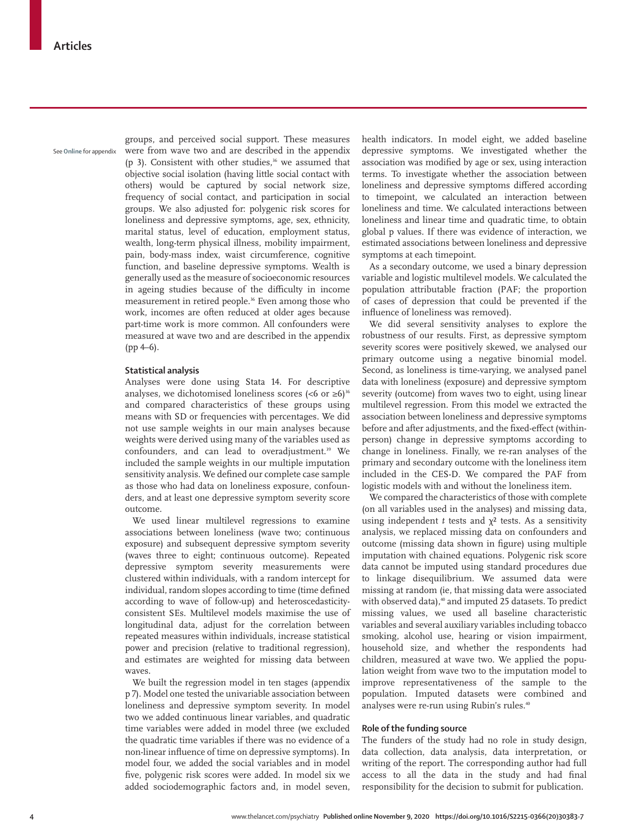See **Online** for appendix

groups, and perceived social support. These measures were from wave two and are described in the appendix (p 3). Consistent with other studies, $36$  we assumed that objective social isolation (having little social contact with others) would be captured by social network size, frequency of social contact, and participation in social groups. We also adjusted for: polygenic risk scores for loneliness and depressive symptoms, age, sex, ethnicity, marital status, level of education, employment status, wealth, long-term physical illness, mobility impairment, pain, body-mass index, waist circumference, cognitive function, and baseline depressive symptoms. Wealth is generally used as the measure of socioeconomic resources in ageing studies because of the difficulty in income measurement in retired people.<sup>36</sup> Even among those who work, incomes are often reduced at older ages because part-time work is more common. All confounders were measured at wave two and are described in the appendix (pp 4–6).

## **Statistical analysis**

Analyses were done using Stata 14. For descriptive analyses, we dichotomised loneliness scores (<6 or  $\geq 6$ )<sup>36</sup> and compared characteristics of these groups using means with SD or frequencies with percentages. We did not use sample weights in our main analyses because weights were derived using many of the variables used as confounders, and can lead to overadjustment.<sup>39</sup> We included the sample weights in our multiple imputation sensitivity analysis. We defined our complete case sample as those who had data on loneliness exposure, confounders, and at least one depressive symptom severity score outcome.

We used linear multilevel regressions to examine associations between loneliness (wave two; continuous exposure) and subsequent depressive symptom severity (waves three to eight; continuous outcome). Repeated depressive symptom severity measurements were clustered within individuals, with a random intercept for individual, random slopes according to time (time defined according to wave of follow-up) and heteroscedasticityconsistent SEs. Multilevel models maximise the use of longitudinal data, adjust for the correlation between repeated measures within individuals, increase statistical power and precision (relative to traditional regression), and estimates are weighted for missing data between waves.

We built the regression model in ten stages (appendix p 7). Model one tested the univariable association between loneliness and depressive symptom severity. In model two we added continuous linear variables, and quadratic time variables were added in model three (we excluded the quadratic time variables if there was no evidence of a non-linear influence of time on depressive symptoms). In model four, we added the social variables and in model five, polygenic risk scores were added. In model six we added sociodemographic factors and, in model seven, health indicators. In model eight, we added baseline depressive symptoms. We investigated whether the association was modified by age or sex, using interaction terms. To investigate whether the association between loneliness and depressive symptoms differed according to timepoint, we calculated an interaction between loneliness and time. We calculated interactions between loneliness and linear time and quadratic time, to obtain global p values. If there was evidence of interaction, we estimated associations between loneliness and depressive symptoms at each timepoint.

As a secondary outcome, we used a binary depression variable and logistic multilevel models. We calculated the population attributable fraction (PAF; the proportion of cases of depression that could be prevented if the influence of loneliness was removed).

We did several sensitivity analyses to explore the robustness of our results. First, as depressive symptom severity scores were positively skewed, we analysed our primary outcome using a negative binomial model. Second, as loneliness is time-varying, we analysed panel data with loneliness (exposure) and depressive symptom severity (outcome) from waves two to eight, using linear multilevel regression. From this model we extracted the association between loneliness and depressive symptoms before and after adjustments, and the fixed-effect (withinperson) change in depressive symptoms according to change in loneliness. Finally, we re-ran analyses of the primary and secondary outcome with the loneliness item included in the CES-D. We compared the PAF from logistic models with and without the loneliness item.

We compared the characteristics of those with complete (on all variables used in the analyses) and missing data, using independent  $t$  tests and  $\chi^2$  tests. As a sensitivity analysis, we replaced missing data on confounders and outcome (missing data shown in figure) using multiple imputation with chained equations. Polygenic risk score data cannot be imputed using standard procedures due to linkage disequilibrium. We assumed data were missing at random (ie, that missing data were associated with observed data),<sup>40</sup> and imputed 25 datasets. To predict missing values, we used all baseline characteristic variables and several auxiliary variables including tobacco smoking, alcohol use, hearing or vision impairment, household size, and whether the respondents had children, measured at wave two. We applied the population weight from wave two to the imputation model to improve representativeness of the sample to the population. Imputed datasets were combined and analyses were re-run using Rubin's rules.40

## **Role of the funding source**

The funders of the study had no role in study design, data collection, data analysis, data interpretation, or writing of the report. The corresponding author had full access to all the data in the study and had final responsibility for the decision to submit for publication.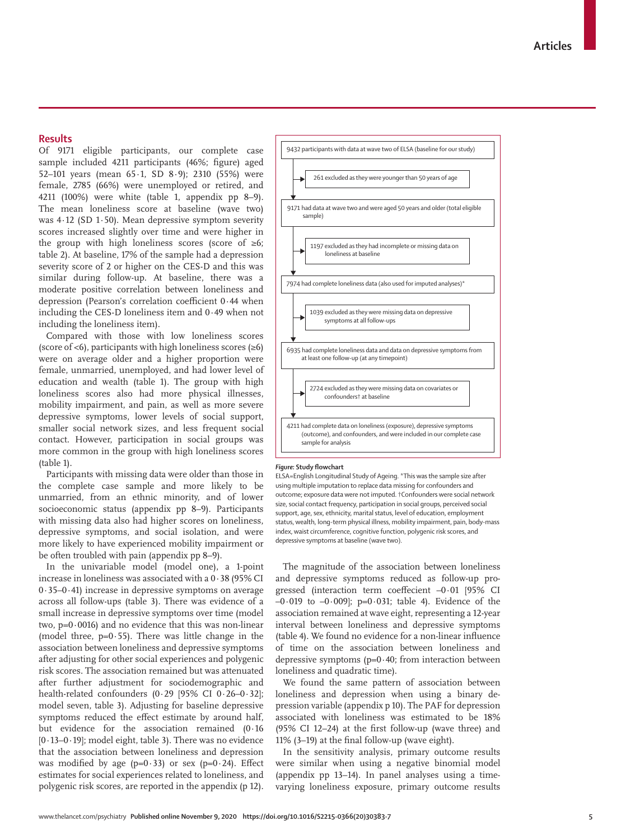## **Results**

Of 9171 eligible participants, our complete case sample included 4211 participants (46%; figure) aged 52–101 years (mean 65·1, SD 8·9); 2310 (55%) were female, 2785 (66%) were unemployed or retired, and 4211 (100%) were white (table 1, appendix pp 8–9). The mean loneliness score at baseline (wave two) was 4·12 (SD 1·50). Mean depressive symptom severity scores increased slightly over time and were higher in the group with high loneliness scores (score of  $\geq 6$ ; table 2). At baseline, 17% of the sample had a depression severity score of 2 or higher on the CES-D and this was similar during follow-up. At baseline, there was a moderate positive correlation between loneliness and depression (Pearson's correlation coefficient 0·44 when including the CES-D loneliness item and 0·49 when not including the loneliness item).

Compared with those with low loneliness scores (score of  $\leq 6$ ), participants with high loneliness scores ( $\geq 6$ ) were on average older and a higher proportion were female, unmarried, unemployed, and had lower level of education and wealth (table 1). The group with high loneliness scores also had more physical illnesses, mobility impairment, and pain, as well as more severe depressive symptoms, lower levels of social support, smaller social network sizes, and less frequent social contact. However, participation in social groups was more common in the group with high loneliness scores (table 1).

Participants with missing data were older than those in the complete case sample and more likely to be unmarried, from an ethnic minority, and of lower socioeconomic status (appendix pp 8–9). Participants with missing data also had higher scores on loneliness, depressive symptoms, and social isolation, and were more likely to have experienced mobility impairment or be often troubled with pain (appendix pp 8–9).

In the univariable model (model one), a 1-point increase in loneliness was associated with a 0·38 (95% CI 0·35–0·41) increase in depressive symptoms on average across all follow-ups (table 3). There was evidence of a small increase in depressive symptoms over time (model two,  $p=0.0016$  and no evidence that this was non-linear (model three,  $p=0.55$ ). There was little change in the association between loneliness and depressive symptoms after adjusting for other social experiences and polygenic risk scores. The association remained but was attenuated after further adjustment for sociodemographic and health-related confounders (0·29 [95% CI 0·26–0·32]; model seven, table 3). Adjusting for baseline depressive symptoms reduced the effect estimate by around half, but evidence for the association remained (0·16 [0·13–0·19]; model eight, table 3). There was no evidence that the association between loneliness and depression was modified by age ( $p=0.33$ ) or sex ( $p=0.24$ ). Effect estimates for social experiences related to loneliness, and polygenic risk scores, are reported in the appendix (p 12).



#### *Figure:* **Study flowchart**

ELSA=English Longitudinal Study of Ageing. \*This was the sample size after using multiple imputation to replace data missing for confounders and outcome; exposure data were not imputed. †Confounders were social network size, social contact frequency, participation in social groups, perceived social support, age, sex, ethnicity, marital status, level of education, employment status, wealth, long-term physical illness, mobility impairment, pain, body-mass index, waist circumference, cognitive function, polygenic risk scores, and depressive symptoms at baseline (wave two).

The magnitude of the association between loneliness and depressive symptoms reduced as follow-up progressed (interaction term coeffecient –0·01 [95% CI –0·019 to –0·009]; p=0·031; table 4). Evidence of the association remained at wave eight, representing a 12-year interval between loneliness and depressive symptoms (table 4). We found no evidence for a non-linear influence of time on the association between loneliness and depressive symptoms (p=0·40; from interaction between loneliness and quadratic time).

We found the same pattern of association between loneliness and depression when using a binary depression variable (appendix p 10). The PAF for depression associated with loneliness was estimated to be 18% (95% CI 12–24) at the first follow-up (wave three) and 11% (3–19) at the final follow-up (wave eight).

In the sensitivity analysis, primary outcome results were similar when using a negative binomial model (appendix pp 13–14). In panel analyses using a timevarying loneliness exposure, primary outcome results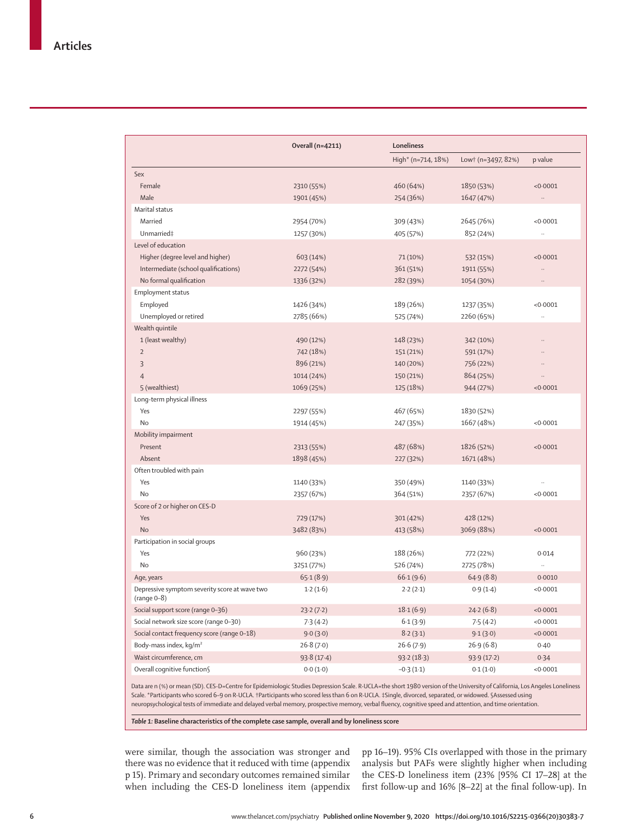|                                               | Overall (n=4211)<br>Loneliness |                    |                    |                      |
|-----------------------------------------------|--------------------------------|--------------------|--------------------|----------------------|
|                                               |                                | High* (n=714, 18%) | Low† (n=3497, 82%) | p value              |
| Sex                                           |                                |                    |                    |                      |
| Female                                        | 2310 (55%)                     | 460 (64%)          | 1850 (53%)         | < 0.0001             |
| Male                                          | 1901 (45%)                     | 254 (36%)          | 1647 (47%)         | $\ddotsc$            |
| Marital status                                |                                |                    |                    |                      |
| Married                                       | 2954 (70%)                     | 309 (43%)          | 2645 (76%)         | < 0.0001             |
| Unmarried‡                                    | 1257 (30%)                     | 405 (57%)          | 852 (24%)          | $\ddot{\phantom{a}}$ |
| Level of education                            |                                |                    |                    |                      |
| Higher (degree level and higher)              | 603 (14%)                      | 71 (10%)           | 532 (15%)          | < 0.0001             |
| Intermediate (school qualifications)          | 2272 (54%)                     | 361 (51%)          | 1911 (55%)         | $\ddot{\phantom{a}}$ |
| No formal qualification                       | 1336 (32%)                     | 282 (39%)          | 1054 (30%)         | $\ddotsc$            |
| Employment status                             |                                |                    |                    |                      |
| Employed                                      | 1426 (34%)                     | 189 (26%)          | 1237 (35%)         | < 0.0001             |
| Unemployed or retired                         | 2785 (66%)                     | 525 (74%)          | 2260 (65%)         | $\ddot{\phantom{a}}$ |
| Wealth quintile                               |                                |                    |                    |                      |
| 1 (least wealthy)                             | 490 (12%)                      | 148 (23%)          | 342 (10%)          |                      |
| $\overline{2}$                                | 742 (18%)                      | 151 (21%)          | 591 (17%)          |                      |
| 3                                             | 896 (21%)                      | 140 (20%)          | 756 (22%)          |                      |
| $\overline{4}$                                | 1014 (24%)                     | 150 (21%)          | 864 (25%)          |                      |
| 5 (wealthiest)                                | 1069 (25%)                     | 125 (18%)          | 944 (27%)          | < 0.0001             |
| Long-term physical illness                    |                                |                    |                    |                      |
| Yes                                           | 2297 (55%)                     | 467 (65%)          | 1830 (52%)         |                      |
| No                                            | 1914 (45%)                     | 247 (35%)          | 1667 (48%)         | < 0.0001             |
| Mobility impairment                           |                                |                    |                    |                      |
| Present                                       | 2313 (55%)                     | 487 (68%)          | 1826 (52%)         | < 0.0001             |
| Absent                                        | 1898 (45%)                     | 227 (32%)          | 1671 (48%)         |                      |
| Often troubled with pain                      |                                |                    |                    |                      |
| Yes                                           | 1140 (33%)                     | 350 (49%)          | 1140 (33%)         | ÷.                   |
| <b>No</b>                                     | 2357 (67%)                     | 364 (51%)          | 2357 (67%)         | < 0.0001             |
| Score of 2 or higher on CES-D                 |                                |                    |                    |                      |
| Yes                                           | 729 (17%)                      | 301 (42%)          | 428 (12%)          |                      |
| No                                            | 3482 (83%)                     | 413 (58%)          | 3069 (88%)         | < 0.0001             |
| Participation in social groups                |                                |                    |                    |                      |
| Yes                                           | 960 (23%)                      | 188 (26%)          | 772 (22%)          | 0.014                |
| No                                            | 3251 (77%)                     | 526 (74%)          | 2725 (78%)         | $\ldots$             |
| Age, years                                    | 65.1(8.9)                      | 66.1(9.6)          | 64.9(8.8)          | 0.0010               |
| Depressive symptom severity score at wave two | 1.2(1.6)                       | 2.2(2.1)           | 0.9(1.4)           | < 0.0001             |
| $(range 0-8)$                                 |                                |                    |                    |                      |
| Social support score (range 0-36)             | 23.2(7.2)                      | 18.1(6.9)          | 24.2(6.8)          | < 0.0001             |
| Social network size score (range 0-30)        | 7.3(4.2)                       | 6.1(3.9)           | 7.5(4.2)           | < 0.0001             |
| Social contact frequency score (range 0-18)   | 9.0(3.0)                       | 8.2(3.1)           | 9.1(3.0)           | < 0.0001             |
| Body-mass index, kg/m <sup>2</sup>            | 26.8(7.0)                      | 26.6(7.9)          | 26.9(6.8)          | 0.40                 |
| Waist circumference, cm                       | 93.8(17.4)                     | 93.2(18.3)         | 93.9(17.2)         | 0.34                 |
| Overall cognitive function§                   | 0.0(1.0)                       | $-0.3(1.1)$        | 0.1(1.0)           | < 0.0001             |

Data are n (%) or mean (SD). CES-D=Centre for Epidemiologic Studies Depression Scale. R-UCLA=the short 1980 version of the University of California, Los Angeles Loneliness Scale. \*Participants who scored 6–9 on R-UCLA. †Participants who scored less than 6 on R-UCLA. ‡Single, divorced, separated, or widowed. §Assessed using neuropsychological tests of immediate and delayed verbal memory, prospective memory, verbal fluency, cognitive speed and attention, and time orientation.

*Table 1:* **Baseline characteristics of the complete case sample, overall and by loneliness score**

were similar, though the association was stronger and there was no evidence that it reduced with time (appendix p 15). Primary and secondary outcomes remained similar when including the CES-D loneliness item (appendix pp 16–19). 95% CIs overlapped with those in the primary analysis but PAFs were slightly higher when including the CES-D loneliness item (23% [95% CI 17–28] at the first follow-up and 16% [8–22] at the final follow-up). In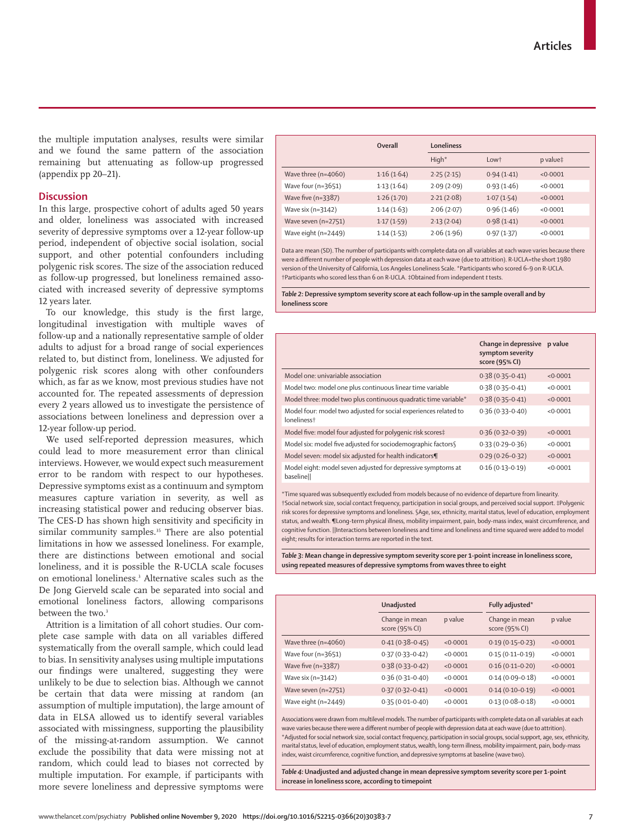the multiple imputation analyses, results were similar and we found the same pattern of the association remaining but attenuating as follow-up progressed (appendix pp 20–21).

## **Discussion**

In this large, prospective cohort of adults aged 50 years and older, loneliness was associated with increased severity of depressive symptoms over a 12-year follow-up period, independent of objective social isolation, social support, and other potential confounders including polygenic risk scores. The size of the association reduced as follow-up progressed, but loneliness remained associated with increased severity of depressive symptoms 12 years later.

To our knowledge, this study is the first large, longitudinal investigation with multiple waves of follow-up and a nationally representative sample of older adults to adjust for a broad range of social experiences related to, but distinct from, loneliness. We adjusted for polygenic risk scores along with other confounders which, as far as we know, most previous studies have not accounted for. The repeated assessments of depression every 2 years allowed us to investigate the persistence of associations between loneliness and depression over a 12-year follow-up period.

We used self-reported depression measures, which could lead to more measurement error than clinical interviews. However, we would expect such measurement error to be random with respect to our hypotheses. Depressive symptoms exist as a continuum and symptom measures capture variation in severity, as well as increasing statistical power and reducing observer bias. The CES-D has shown high sensitivity and specificity in similar community samples.<sup>35</sup> There are also potential limitations in how we assessed loneliness. For example, there are distinctions between emotional and social loneliness, and it is possible the R-UCLA scale focuses on emotional loneliness.3 Alternative scales such as the De Jong Gierveld scale can be separated into social and emotional loneliness factors, allowing comparisons between the two.<sup>3</sup>

Attrition is a limitation of all cohort studies. Our complete case sample with data on all variables differed systematically from the overall sample, which could lead to bias. In sensitivity analyses using multiple imputations our findings were unaltered, suggesting they were unlikely to be due to selection bias. Although we cannot be certain that data were missing at random (an assumption of multiple imputation), the large amount of data in ELSA allowed us to identify several variables associated with missingness, supporting the plausibility of the missing-at-random assumption. We cannot exclude the possibility that data were missing not at random, which could lead to biases not corrected by multiple imputation. For example, if participants with more severe loneliness and depressive symptoms were

|                       | Overall    | Loneliness        |            |          |  |
|-----------------------|------------|-------------------|------------|----------|--|
|                       |            | High <sup>*</sup> | Lowt       | p value‡ |  |
| Wave three $(n=4060)$ | 1.16(1.64) | 2.25(2.15)        | 0.94(1.41) | < 0.0001 |  |
| Wave four (n=3651)    | 1.13(1.64) | 2.09(2.09)        | 0.93(1.46) | < 0.0001 |  |
| Wave five (n=3387)    | 1.26(1.70) | 2.21(2.08)        | 1.07(1.54) | < 0.0001 |  |
| Wave six $(n=3142)$   | 1.14(1.63) | 2.06(2.07)        | 0.96(1.46) | < 0.0001 |  |
| Wave seven $(n=2751)$ | 1.17(1.59) | 2.13(2.04)        | 0.98(1.41) | < 0.0001 |  |
| Wave eight (n=2449)   | 1.14(1.53) | 2.06(1.96)        | 0.97(1.37) | < 0.0001 |  |

Data are mean (SD). The number of participants with complete data on all variables at each wave varies because there were a different number of people with depression data at each wave (due to attrition). R-UCLA=the short 1980 version of the University of California, Los Angeles Loneliness Scale. \*Participants who scored 6–9 on R-UCLA. †Participants who scored less than 6 on R-UCLA. ‡Obtained from independent *t* tests.

*Table 2:* **Depressive symptom severity score at each follow-up in the sample overall and by loneliness score**

|                                                                                 | Change in depressive<br>symptom severity<br>score (95% CI) | p value  |
|---------------------------------------------------------------------------------|------------------------------------------------------------|----------|
| Model one: univariable association                                              | $0.38(0.35 - 0.41)$                                        | < 0.0001 |
| Model two: model one plus continuous linear time variable                       | $0.38(0.35 - 0.41)$                                        | < 0.0001 |
| Model three: model two plus continuous quadratic time variable*                 | $0.38(0.35 - 0.41)$                                        | < 0.0001 |
| Model four: model two adjusted for social experiences related to<br>lonelinesst | $0.36(0.33 - 0.40)$                                        | < 0.0001 |
| Model five: model four adjusted for polygenic risk scores‡                      | $0.36(0.32 - 0.39)$                                        | < 0.0001 |
| Model six: model five adjusted for sociodemographic factors§                    | $0.33(0.29 - 0.36)$                                        | < 0.0001 |
| Model seven: model six adjusted for health indicators¶                          | $0.29(0.26 - 0.32)$                                        | < 0.0001 |
| Model eight: model seven adjusted for depressive symptoms at<br>baselinell      | $0.16(0.13 - 0.19)$                                        | < 0.0001 |

\*Time squared was subsequently excluded from models because of no evidence of departure from linearity. †Social network size, social contact frequency, participation in social groups, and perceived social support. ‡Polygenic risk scores for depressive symptoms and loneliness. §Age, sex, ethnicity, marital status, level of education, employment status, and wealth. ¶Long-term physical illness, mobility impairment, pain, body-mass index, waist circumference, and cognitive function. ||Interactions between loneliness and time and loneliness and time squared were added to model eight; results for interaction terms are reported in the text.

*Table 3:* **Mean change in depressive symptom severity score per 1-point increase in loneliness score, using repeated measures of depressive symptoms from waves three to eight**

|                      | Unadjusted                       |          |                                  | Fully adjusted* |  |
|----------------------|----------------------------------|----------|----------------------------------|-----------------|--|
|                      | Change in mean<br>score (95% CI) | p value  | Change in mean<br>score (95% CI) | p value         |  |
| Wave three (n=4060)  | $0.41(0.38 - 0.45)$              | < 0.0001 | $0.19(0.15 - 0.23)$              | < 0.0001        |  |
| Wave four (n=3651)   | $0.37(0.33 - 0.42)$              | < 0.0001 | $0.15(0.11 - 0.19)$              | < 0.0001        |  |
| Wave five $(n=3387)$ | $0.38(0.33 - 0.42)$              | < 0.0001 | $0.16(0.11 - 0.20)$              | < 0.0001        |  |
| Wave six (n=3142)    | $0.36(0.31 - 0.40)$              | < 0.0001 | $0.14(0.09 - 0.18)$              | < 0.0001        |  |
| Wave seven (n=2751)  | $0.37(0.32 - 0.41)$              | < 0.0001 | $0.14(0.10-0.19)$                | < 0.0001        |  |
| Wave eight (n=2449)  | $0.35(0.01 - 0.40)$              | < 0.0001 | $0.13(0.08 - 0.18)$              | < 0.0001        |  |

Associations were drawn from multilevel models. The number of participants with complete data on all variables at each wave varies because there were a different number of people with depression data at each wave (due to attrition). \*Adjusted for social network size, social contact frequency, participation in social groups, social support, age, sex, ethnicity, marital status, level of education, employment status, wealth, long-term illness, mobility impairment, pain, body-mass index, waist circumference, cognitive function, and depressive symptoms at baseline (wave two).

*Table 4:* **Unadjusted and adjusted change in mean depressive symptom severity score per 1-point increase in loneliness score, according to timepoint**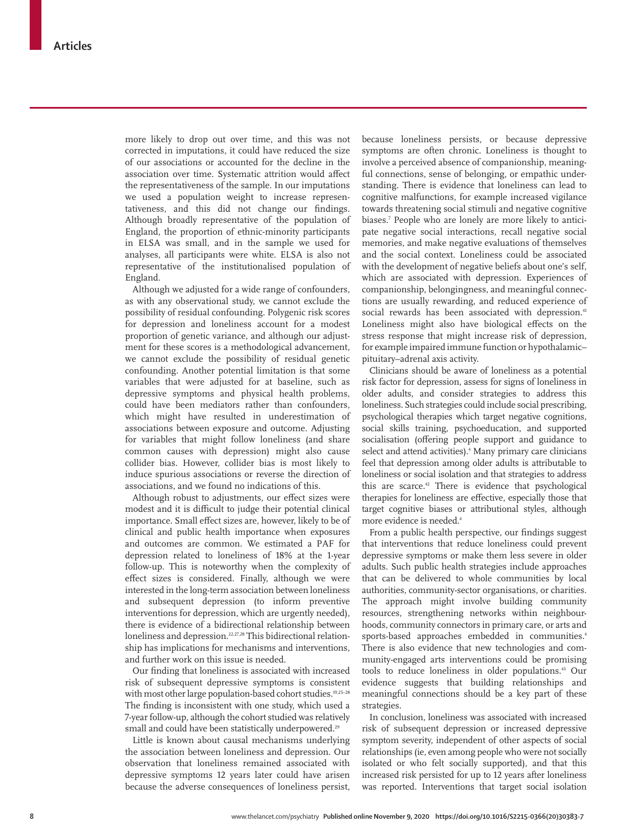more likely to drop out over time, and this was not corrected in imputations, it could have reduced the size of our associations or accounted for the decline in the association over time. Systematic attrition would affect the representativeness of the sample. In our imputations we used a population weight to increase representativeness, and this did not change our findings. Although broadly representative of the population of England, the proportion of ethnic-minority participants in ELSA was small, and in the sample we used for analyses, all participants were white. ELSA is also not representative of the institutionalised population of England.

Although we adjusted for a wide range of confounders, as with any observational study, we cannot exclude the possibility of residual confounding. Polygenic risk scores for depression and loneliness account for a modest proportion of genetic variance, and although our adjustment for these scores is a methodological advancement, we cannot exclude the possibility of residual genetic confounding. Another potential limitation is that some variables that were adjusted for at baseline, such as depressive symptoms and physical health problems, could have been mediators rather than confounders, which might have resulted in underestimation of associations between exposure and outcome. Adjusting for variables that might follow loneliness (and share common causes with depression) might also cause collider bias. However, collider bias is most likely to induce spurious associations or reverse the direction of associations, and we found no indications of this.

Although robust to adjustments, our effect sizes were modest and it is difficult to judge their potential clinical importance. Small effect sizes are, however, likely to be of clinical and public health importance when exposures and outcomes are common. We estimated a PAF for depression related to loneliness of 18% at the 1-year follow-up. This is noteworthy when the complexity of effect sizes is considered. Finally, although we were interested in the long-term association between loneliness and subsequent depression (to inform preventive interventions for depression, which are urgently needed), there is evidence of a bidirectional relationship between loneliness and depression.<sup>22,27,28</sup> This bidirectional relationship has implications for mechanisms and interventions, and further work on this issue is needed.

Our finding that loneliness is associated with increased risk of subsequent depressive symptoms is consistent with most other large population-based cohort studies.<sup>19,25-28</sup> The finding is inconsistent with one study, which used a 7-year follow-up, although the cohort studied was relatively small and could have been statistically underpowered.<sup>29</sup>

Little is known about causal mechanisms underlying the association between loneliness and depression. Our observation that loneliness remained associated with depressive symptoms 12 years later could have arisen because the adverse consequences of loneliness persist,

because loneliness persists, or because depressive symptoms are often chronic. Loneliness is thought to involve a perceived absence of companionship, meaningful connections, sense of belonging, or empathic understanding. There is evidence that loneliness can lead to cognitive malfunctions, for example increased vigilance towards threatening social stimuli and negative cognitive biases.7 People who are lonely are more likely to anticipate negative social interactions, recall negative social memories, and make negative evaluations of themselves and the social context. Loneliness could be associated with the development of negative beliefs about one's self, which are associated with depression. Experiences of companionship, belongingness, and meaningful connections are usually rewarding, and reduced experience of social rewards has been associated with depression.<sup>41</sup> Loneliness might also have biological effects on the stress response that might increase risk of depression, for example impaired immune function or hypothalamic– pituitary–adrenal axis activity.

Clinicians should be aware of loneliness as a potential risk factor for depression, assess for signs of loneliness in older adults, and consider strategies to address this loneliness. Such strategies could include social prescribing, psychological therapies which target negative cognitions, social skills training, psychoeducation, and supported socialisation (offering people support and guidance to select and attend activities).<sup>4</sup> Many primary care clinicians feel that depression among older adults is attributable to loneliness or social isolation and that strategies to address this are scarce.<sup>42</sup> There is evidence that psychological therapies for loneliness are effective, especially those that target cognitive biases or attributional styles, although more evidence is needed.4

From a public health perspective, our findings suggest that interventions that reduce loneliness could prevent depressive symptoms or make them less severe in older adults. Such public health strategies include approaches that can be delivered to whole communities by local authorities, community-sector organisations, or charities. The approach might involve building community resources, strengthening networks within neighbourhoods, community connectors in primary care, or arts and sports-based approaches embedded in communities.<sup>4</sup> There is also evidence that new technologies and community-engaged arts interventions could be promising tools to reduce loneliness in older populations.<sup>43</sup> Our evidence suggests that building relationships and meaningful connections should be a key part of these strategies.

In conclusion, loneliness was associated with increased risk of subsequent depression or increased depressive symptom severity, independent of other aspects of social relationships (ie, even among people who were not socially isolated or who felt socially supported), and that this increased risk persisted for up to 12 years after loneliness was reported. Interventions that target social isolation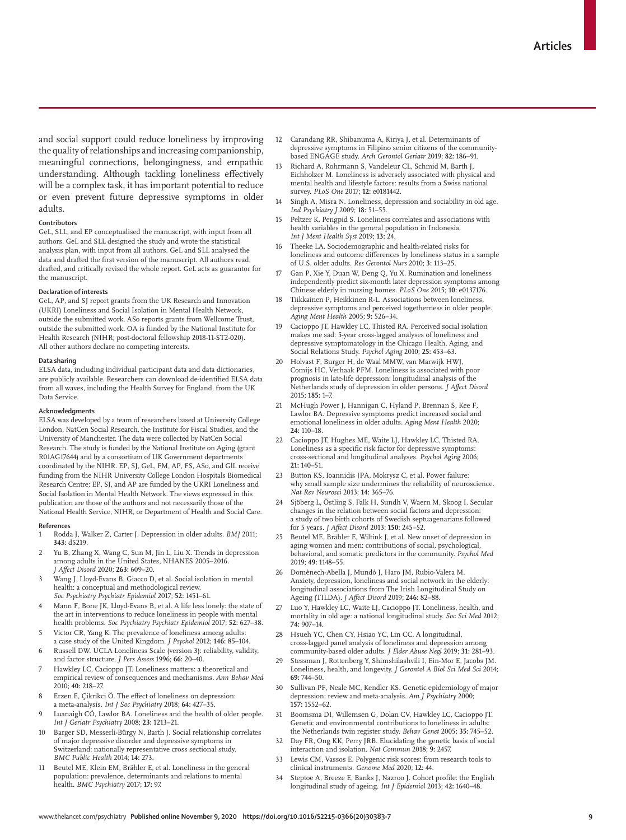and social support could reduce loneliness by improving the quality of relationships and increasing companionship, meaningful connections, belongingness, and empathic understanding. Although tackling loneliness effectively will be a complex task, it has important potential to reduce or even prevent future depressive symptoms in older adults.

## **Contributors**

GeL, SLL, and EP conceptualised the manuscript, with input from all authors. GeL and SLL designed the study and wrote the statistical analysis plan, with input from all authors. GeL and SLL analysed the data and drafted the first version of the manuscript. All authors read, drafted, and critically revised the whole report. GeL acts as guarantor for the manuscript.

#### **Declaration of interests**

GeL, AP, and SJ report grants from the UK Research and Innovation (UKRI) Loneliness and Social Isolation in Mental Health Network, outside the submitted work. ASo reports grants from Wellcome Trust, outside the submitted work. OA is funded by the National Institute for Health Research (NIHR; post-doctoral fellowship 2018-11-ST2-020). All other authors declare no competing interests.

#### **Data sharing**

ELSA data, including individual participant data and data dictionaries, are publicly available. Researchers can download de-identified ELSA data from all waves, including the Health Survey for England, from the UK Data Service.

#### **Acknowledgments**

ELSA was developed by a team of researchers based at University College London, NatCen Social Research, the Institute for Fiscal Studies, and the University of Manchester. The data were collected by NatCen Social Research. The study is funded by the National Institute on Aging (grant R01AG17644) and by a consortium of UK Government departments coordinated by the NIHR. EP, SJ, GeL, FM, AP, FS, ASo, and GlL receive funding from the NIHR University College London Hospitals Biomedical Research Centre; EP, SJ, and AP are funded by the UKRI Loneliness and Social Isolation in Mental Health Network. The views expressed in this publication are those of the authors and not necessarily those of the National Health Service, NIHR, or Department of Health and Social Care.

#### **References**

- 1 Rodda J, Walker Z, Carter J. Depression in older adults. *BMJ* 2011; **343:** d5219.
- 2 Yu B, Zhang X, Wang C, Sun M, Jin L, Liu X. Trends in depression among adults in the United States, NHANES 2005–2016. *J Affect Disord* 2020; **263:** 609–20.
- 3 Wang J, Lloyd-Evans B, Giacco D, et al. Social isolation in mental health: a conceptual and methodological review. *Soc Psychiatry Psychiatr Epidemiol* 2017; **52:** 1451–61.
- 4 Mann F, Bone JK, Lloyd-Evans B, et al. A life less lonely: the state of the art in interventions to reduce loneliness in people with mental health problems. *Soc Psychiatry Psychiatr Epidemiol* 2017; **52:** 627–38.
- Victor CR, Yang K. The prevalence of loneliness among adults: a case study of the United Kingdom. *J Psychol* 2012; **146:** 85–104.
- 6 Russell DW. UCLA Loneliness Scale (version 3): reliability, validity, and factor structure. *J Pers Assess* 1996; **66:** 20–40.
- Hawkley LC, Cacioppo JT. Loneliness matters: a theoretical and empirical review of consequences and mechanisms. *Ann Behav Med* 2010; **40:** 218–27.
- 8 Erzen E, Çikrikci Ö. The effect of loneliness on depression: a meta-analysis. *Int J Soc Psychiatry* 2018; **64:** 427–35.
- Luanaigh CÓ, Lawlor BA. Loneliness and the health of older people. *Int J Geriatr Psychiatry* 2008; **23:** 1213–21.
- 10 Barger SD, Messerli-Bürgy N, Barth J. Social relationship correlates of major depressive disorder and depressive symptoms in Switzerland: nationally representative cross sectional study. *BMC Public Health* 2014; **14:** 273.
- 11 Beutel ME, Klein EM, Brähler E, et al. Loneliness in the general population: prevalence, determinants and relations to mental health. *BMC Psychiatry* 2017; **17:** 97.
- 12 Carandang RR, Shibanuma A, Kiriya J, et al. Determinants of depressive symptoms in Filipino senior citizens of the communitybased ENGAGE study. *Arch Gerontol Geriatr* 2019; **82:** 186–91.
- 13 Richard A, Rohrmann S, Vandeleur CL, Schmid M, Barth J, Eichholzer M. Loneliness is adversely associated with physical and mental health and lifestyle factors: results from a Swiss national survey. *PLoS One* 2017; **12:** e0181442.
- Singh A, Misra N. Loneliness, depression and sociability in old age. *Ind Psychiatry J* 2009; **18:** 51–55.
- 15 Peltzer K, Pengpid S. Loneliness correlates and associations with health variables in the general population in Indonesia. *Int J Ment Health Syst* 2019; **13:** 24.
- Theeke LA. Sociodemographic and health-related risks for loneliness and outcome differences by loneliness status in a sample of U.S. older adults. *Res Gerontol Nurs* 2010; **3:** 113–25.
- 17 Gan P, Xie Y, Duan W, Deng Q, Yu X. Rumination and loneliness independently predict six-month later depression symptoms among Chinese elderly in nursing homes. *PLoS One* 2015; **10:** e0137176.
- Tiikkainen P, Heikkinen R-L. Associations between loneliness, depressive symptoms and perceived togetherness in older people. *Aging Ment Health* 2005; **9:** 526–34.
- 19 Cacioppo JT, Hawkley LC, Thisted RA. Perceived social isolation makes me sad: 5-year cross-lagged analyses of loneliness and depressive symptomatology in the Chicago Health, Aging, and Social Relations Study. *Psychol Aging* 2010; **25:** 453–63.
- 20 Holvast F, Burger H, de Waal MMW, van Marwijk HWJ, Comijs HC, Verhaak PFM. Loneliness is associated with poor prognosis in late-life depression: longitudinal analysis of the Netherlands study of depression in older persons. *J Affect Disord* 2015; **185:** 1–7.
- 21 McHugh Power J, Hannigan C, Hyland P, Brennan S, Kee F, Lawlor BA. Depressive symptoms predict increased social and emotional loneliness in older adults. *Aging Ment Health* 2020; **24:** 110–18.
- 22 Cacioppo JT, Hughes ME, Waite LJ, Hawkley LC, Thisted RA. Loneliness as a specific risk factor for depressive symptoms: cross-sectional and longitudinal analyses. *Psychol Aging* 2006; **21:** 140–51.
- 23 Button KS, Ioannidis JPA, Mokrysz C, et al. Power failure: why small sample size undermines the reliability of neuroscience. *Nat Rev Neurosci* 2013; **14:** 365–76.
- Sjöberg L, Östling S, Falk H, Sundh V, Waern M, Skoog I. Secular changes in the relation between social factors and depression: a study of two birth cohorts of Swedish septuagenarians followed for 5 years. *J Affect Disord* 2013; **150:** 245–52.
- 25 Beutel ME, Brähler E, Wiltink J, et al. New onset of depression in aging women and men: contributions of social, psychological, behavioral, and somatic predictors in the community. *Psychol Med* 2019; **49:** 1148–55.
- 26 Domènech-Abella J, Mundó J, Haro JM, Rubio-Valera M. Anxiety, depression, loneliness and social network in the elderly: longitudinal associations from The Irish Longitudinal Study on Ageing (TILDA). *J Affect Disord* 2019; **246:** 82–88.
- Luo Y, Hawkley LC, Waite LJ, Cacioppo JT. Loneliness, health, and mortality in old age: a national longitudinal study. *Soc Sci Med* 2012; **74:** 907–14.
- 28 Hsueh YC, Chen CY, Hsiao YC, Lin CC. A longitudinal, cross-lagged panel analysis of loneliness and depression among community-based older adults. *J Elder Abuse Negl* 2019; **31:** 281–93.
- 29 Stessman J, Rottenberg Y, Shimshilashvili I, Ein-Mor E, Jacobs JM. Loneliness, health, and longevity. *J Gerontol A Biol Sci Med Sci* 2014; **69:** 744–50.
- 30 Sullivan PF, Neale MC, Kendler KS. Genetic epidemiology of major depression: review and meta-analysis. *Am J Psychiatry* 2000; **157:** 1552–62.
- 31 Boomsma DI, Willemsen G, Dolan CV, Hawkley LC, Cacioppo JT. Genetic and environmental contributions to loneliness in adults: the Netherlands twin register study. *Behav Genet* 2005; **35:** 745–52.
- 32 Day FR, Ong KK, Perry JRB. Elucidating the genetic basis of social interaction and isolation. *Nat Commun* 2018; **9:** 2457.
- 33 Lewis CM, Vassos E. Polygenic risk scores: from research tools to clinical instruments. *Genome Med* 2020; **12:** 44.
- 34 Steptoe A, Breeze E, Banks J, Nazroo J. Cohort profile: the English longitudinal study of ageing. *Int J Epidemiol* 2013; **42:** 1640–48.